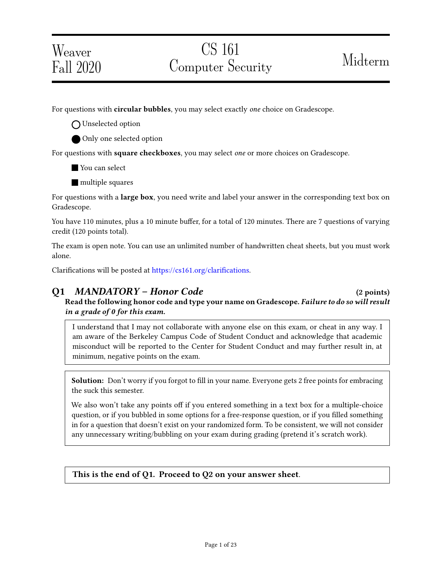# Weaver Fall 2020

For questions with **circular bubbles**, you may select exactly *one* choice on Gradescope.

O Unselected option

Only one selected option

For questions with square checkboxes, you may select one or more choices on Gradescope.

You can select

**multiple squares** 

For questions with a **large box**, you need write and label your answer in the corresponding text box on Gradescope.

You have 110 minutes, plus a 10 minute buffer, for a total of 120 minutes. There are 7 questions of varying credit (120 points total).

The exam is open note. You can use an unlimited number of handwritten cheat sheets, but you must work alone.

Clarifications will be posted at https://cs161.org/clarifications.

Q1 MANDATORY – Honor Code (2 points) Read the following honor code and type your name on Gradescope. Failure to do so will result in a grade of 0 for this exam.

I understand that I may not collaborate with anyone else on this exam, or cheat in any way. I am aware of the Berkeley Campus Code of Student Conduct and acknowledge that academic misconduct will be reported to the Center for Student Conduct and may further result in, at minimum, negative points on the exam.

Solution: Don't worry if you forgot to fill in your name. Everyone gets 2 free points for embracing the suck this semester.

We also won't take any points off if you entered something in a text box for a multiple-choice question, or if you bubbled in some options for a free-response question, or if you filled something in for a question that doesn't exist on your randomized form. To be consistent, we will not consider any unnecessary writing/bubbling on your exam during grading (pretend it's scratch work).

### This is the end of Q1. Proceed to Q2 on your answer sheet.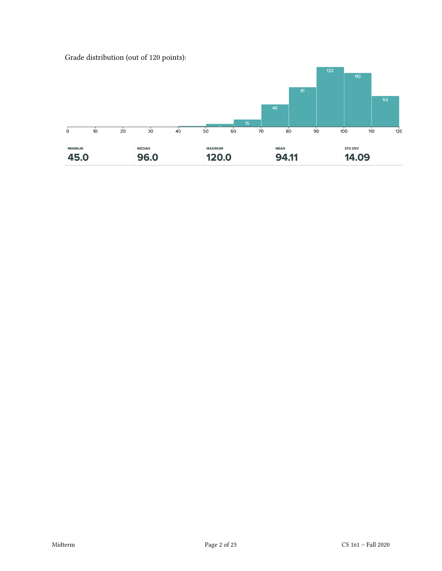Grade distribution (out of 120 points):

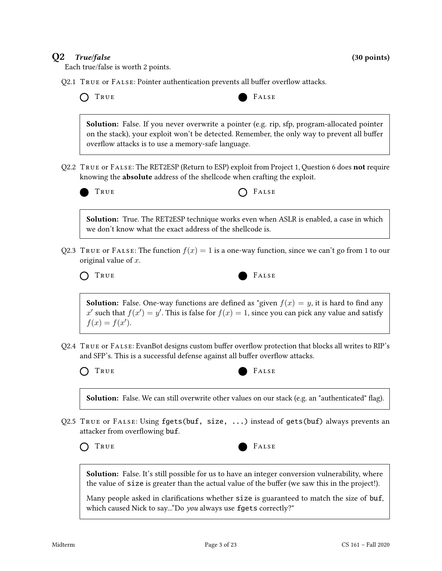### $Q2$  True/false (30 points)

Each true/false is worth 2 points.

 $Q2.1$  True or FALSE: Pointer authentication prevents all buffer overflow attacks.

|  | $\sim$<br>- -<br>×<br>۰. |
|--|--------------------------|
|--|--------------------------|



Solution: False. If you never overwrite a pointer (e.g. rip, sfp, program-allocated pointer on the stack), your exploit won't be detected. Remember, the only way to prevent all buffer overflow attacks is to use a memory-safe language.

Q2.2 True or False: The RET2ESP (Return to ESP) exploit from Project 1, Question 6 does not require knowing the **absolute** address of the shellcode when crafting the exploit.



TRUE **CONSTRUE** 

Solution: True. The RET2ESP technique works even when ASLR is enabled, a case in which we don't know what the exact address of the shellcode is.

Q2.3 TRUE or FALSE: The function  $f(x) = 1$  is a one-way function, since we can't go from 1 to our original value of x.



**Solution:** False. One-way functions are defined as "given  $f(x) = y$ , it is hard to find any x' such that  $f(x') = y'$ . This is false for  $f(x) = 1$ , since you can pick any value and satisfy  $f(x) = f(x')$ .

Q2.4 TRUE or FALSE: EvanBot designs custom buffer overflow protection that blocks all writes to RIP's and SFP's. This is a successful defense against all buffer overflow attacks.

TRUE FALSE



**Solution:** False. We can still overwrite other values on our stack (e.g. an "authenticated" flag).

Q2.5 TRUE or FALSE: Using fgets(buf, size, ...) instead of gets(buf) always prevents an attacker from overflowing buf.

TRUE FALSE



**Solution:** False. It's still possible for us to have an integer conversion vulnerability, where the value of size is greater than the actual value of the buffer (we saw this in the project!).

Many people asked in clarifications whether size is guaranteed to match the size of buf, which caused Nick to say..."Do you always use fgets correctly?"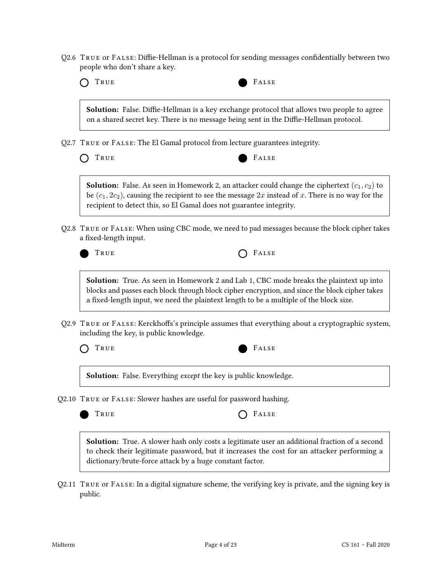$Q2.6$  TRUE or FALSE: Diffie-Hellman is a protocol for sending messages confidentially between two people who don't share a key.



**Solution:** False. Diffie-Hellman is a key exchange protocol that allows two people to agree on a shared secret key. There is no message being sent in the Diffie-Hellman protocol.

Q2.7 True or False: The El Gamal protocol from lecture guarantees integrity.

TRUE **FALSE** 

**Solution:** False. As seen in Homework 2, an attacker could change the ciphertext  $(c_1, c_2)$  to be  $(c_1, 2c_2)$ , causing the recipient to see the message 2x instead of x. There is no way for the recipient to detect this, so El Gamal does not guarantee integrity.

Q2.8 True or False: When using CBC mode, we need to pad messages because the block cipher takes a fixed-length input.

TRUE **CELLES** 

Solution: True. As seen in Homework 2 and Lab 1, CBC mode breaks the plaintext up into blocks and passes each block through block cipher encryption, and since the block cipher takes a fixed-length input, we need the plaintext length to be a multiple of the block size.

 $Q2.9$  TRUE or FALSE: Kerckhoffs's principle assumes that everything about a cryptographic system, including the key, is public knowledge.



Solution: False. Everything *except* the key is public knowledge.

Q2.10 True or False: Slower hashes are useful for password hashing.

 $F$  FALSE

Solution: True. A slower hash only costs a legitimate user an additional fraction of a second to check their legitimate password, but it increases the cost for an attacker performing a dictionary/brute-force attack by a huge constant factor.

Q2.11 True or False: In a digital signature scheme, the verifying key is private, and the signing key is public.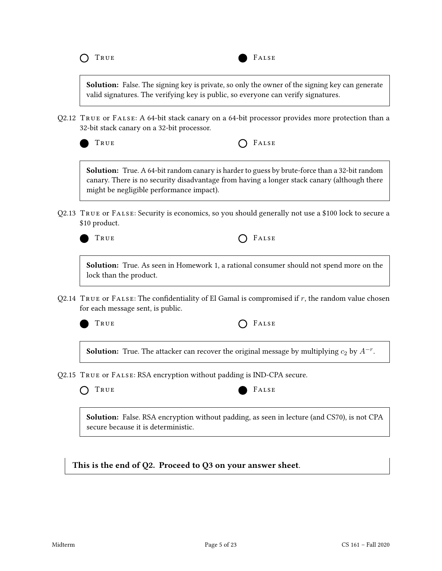



**Solution:** False. The signing key is private, so only the owner of the signing key can generate valid signatures. The verifying key is public, so everyone can verify signatures.

Q2.12 True or False: A 64-bit stack canary on a 64-bit processor provides more protection than a 32-bit stack canary on a 32-bit processor.



TRUE **CONSTRUE** 

Solution: True. A 64-bit random canary is harder to guess by brute-force than a 32-bit random canary. There is no security disadvantage from having a longer stack canary (although there might be negligible performance impact).

Q2.13 True or False: Security is economics, so you should generally not use a \$100 lock to secure a \$10 product.



TRUE **CELLE** 

Solution: True. As seen in Homework 1, a rational consumer should not spend more on the lock than the product.

 $Q2.14$  True or FALSE: The confidentiality of El Gamal is compromised if r, the random value chosen for each message sent, is public.



TRUE **CONSTRUE** 

**Solution:** True. The attacker can recover the original message by multiplying  $c_2$  by  $A^{-r}$ .

Q2.15 True or False: RSA encryption without padding is IND-CPA secure.



Solution: False. RSA encryption without padding, as seen in lecture (and CS70), is not CPA secure because it is deterministic.

This is the end of Q2. Proceed to Q3 on your answer sheet.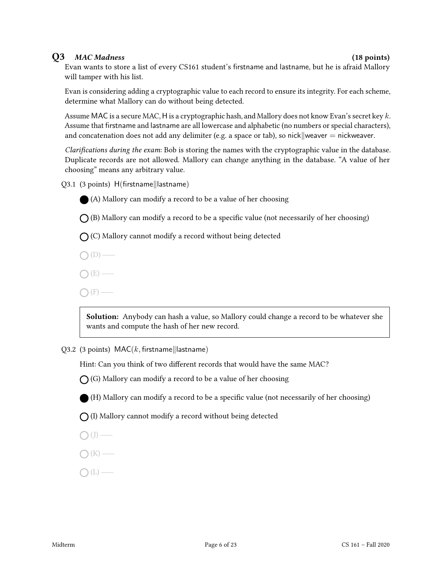#### Q3 MAC Madness (18 points)

Evan wants to store a list of every CS161 student's firstname and lastname, but he is afraid Mallory will tamper with his list.

Evan is considering adding a cryptographic value to each record to ensure its integrity. For each scheme, determine what Mallory can do without being detected.

Assume MAC is a secure MAC, H is a cryptographic hash, and Mallory does not know Evan's secret key k. Assume that firstname and lastname are all lowercase and alphabetic (no numbers or special characters), and concatenation does not add any delimiter (e.g. a space or tab), so nick weaver  $=$  nickweaver.

Clarifications during the exam: Bob is storing the names with the cryptographic value in the database. Duplicate records are not allowed. Mallory can change anything in the database. "A value of her choosing" means any arbitrary value.

 $Q3.1$  (3 points)  $H(firstname||lastname)$ 



(A) Mallory can modify a record to be a value of her choosing

 $\bigcap$  (B) Mallory can modify a record to be a specific value (not necessarily of her choosing)

 $\bigcap$  (C) Mallory cannot modify a record without being detected

 $\bigcap(D)$  —

 $\bigcap(E)$  —

 $\bigcap$  (F) —

Solution: Anybody can hash a value, so Mallory could change a record to be whatever she wants and compute the hash of her new record.

Q3.2 (3 points)  $MAC(k, first name||lastname)$ 

Hint: Can you think of two different records that would have the same MAC?

 $\bigcap$  (G) Mallory can modify a record to be a value of her choosing

(H) Mallory can modify a record to be a specific value (not necessarily of her choosing)

 $\bigcap$  (I) Mallory cannot modify a record without being detected

 $\bigcap$  (J) —

$$
\bigcirc (K) \longrightarrow
$$

$$
\bigcirc\left( L\right) \underline{\qquad \qquad }
$$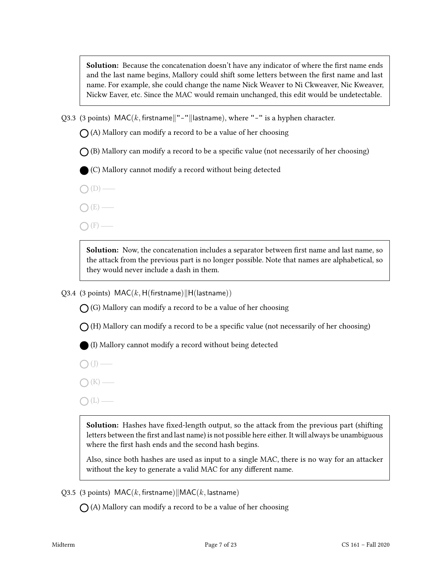**Solution:** Because the concatenation doesn't have any indicator of where the first name ends and the last name begins, Mallory could shift some letters between the first name and last name. For example, she could change the name Nick Weaver to Ni Ckweaver, Nic Kweaver, Nickw Eaver, etc. Since the MAC would remain unchanged, this edit would be undetectable.

Q3.3 (3 points)  $\text{MAC}(k, \text{firstname}|| - || \text{lastname}),$  where "-" is a hyphen character.

 $\bigcap$  (A) Mallory can modify a record to be a value of her choosing

 $\bigcap$  (B) Mallory can modify a record to be a specific value (not necessarily of her choosing)

(C) Mallory cannot modify a record without being detected

- $\bigcap(D)$  —
- $\bigcap(E)$  —
- $\bigcap$  (F) —

Solution: Now, the concatenation includes a separator between first name and last name, so the attack from the previous part is no longer possible. Note that names are alphabetical, so they would never include a dash in them.

Q3.4 (3 points)  $MAC(k, H(firstname)||H(lastname))$ 

 $\bigcap$  (G) Mallory can modify a record to be a value of her choosing

 $\bigcap$  (H) Mallory can modify a record to be a specific value (not necessarily of her choosing)

(I) Mallory cannot modify a record without being detected

 $\bigcirc$  (J) —

 $\bigcap$  (K) —

 $O(L)$  —

Solution: Hashes have fixed-length output, so the attack from the previous part (shifting letters between the first and last name) is not possible here either. It will always be unambiguous where the first hash ends and the second hash begins.

Also, since both hashes are used as input to a single MAC, there is no way for an attacker without the key to generate a valid MAC for any different name.

Q3.5 (3 points)  $MAC(k, first name)||MAC(k, last name)$ 

 $\bigcap$  (A) Mallory can modify a record to be a value of her choosing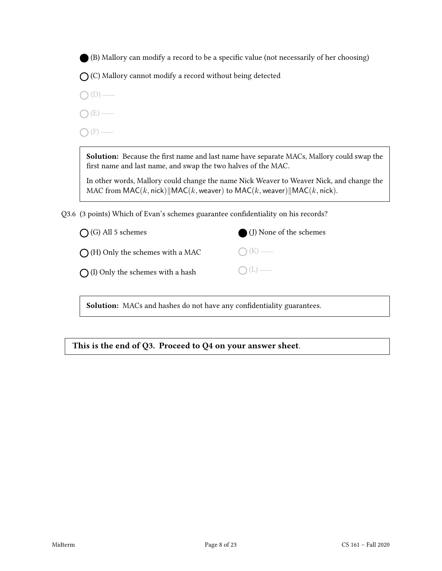(B) Mallory can modify a record to be a specific value (not necessarily of her choosing)

 $\bigcap$  (C) Mallory cannot modify a record without being detected

- $O(D)$  —
- $O(E)$  —

 $\bigcap$  (F) —

Solution: Because the first name and last name have separate MACs, Mallory could swap the first name and last name, and swap the two halves of the MAC.

In other words, Mallory could change the name Nick Weaver to Weaver Nick, and change the MAC from  $MAC(k, \text{nick})$  | MAC(k, weaver) to MAC(k, weaver) | MAC(k, nick).

Q3.6 (3 points) Which of Evan's schemes guarantee confidentiality on his records?

| $\bigcirc$ (J) None of the schemes |
|------------------------------------|
| $O(K)$ —                           |
| $O(L)$ —                           |
|                                    |

Solution: MACs and hashes do not have any confidentiality guarantees.

This is the end of Q3. Proceed to Q4 on your answer sheet.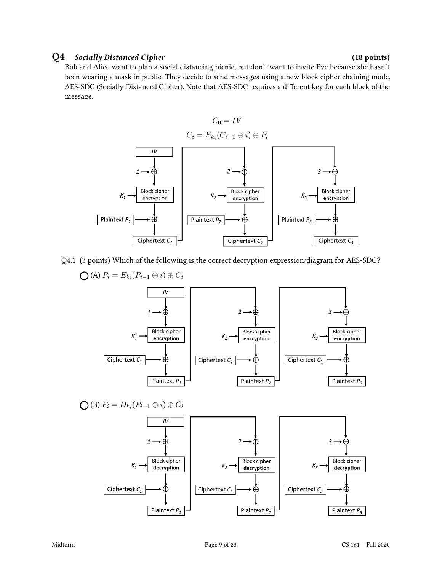#### Q4 Socially Distanced Cipher (18 points)

Bob and Alice want to plan a social distancing picnic, but don't want to invite Eve because she hasn't been wearing a mask in public. They decide to send messages using a new block cipher chaining mode, AES-SDC (Socially Distanced Cipher). Note that AES-SDC requires a different key for each block of the message.



Q4.1 (3 points) Which of the following is the correct decryption expression/diagram for AES-SDC?

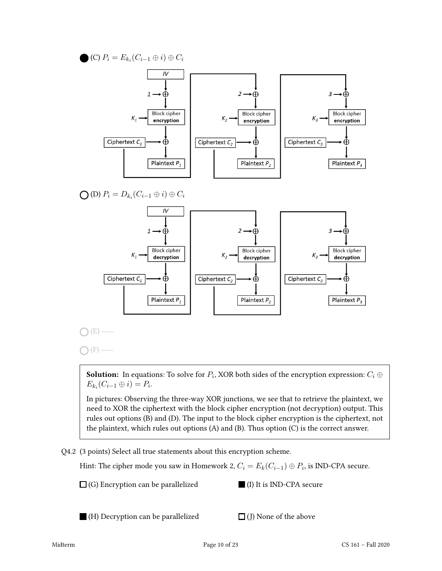(C)  $P_i = E_{k_i}(C_{i-1} \oplus i) \oplus C_i$  $I\vee$  $\oplus$  $2 \rightarrow \oplus$  $3 \rightarrow \oplus$  $\mathbf{1}$ **Block cipher Block cipher Block cipher**  $K_1$ K. encryption encryption encryption Ciphertext  $C_1$ Å Ciphertext  $C_2$ Ciphertext  $C_3$ ⊕ क़ Plaintext  $P_1$ Plaintext  $P_2$ Plaintext  $P_3$ (D)  $P_i = D_{k_i}(C_{i-1} \oplus i) \oplus C_i$  $IV$  $\dot{\oplus}$  $2 \rightarrow \oplus$  $\overline{3}$  – Æ **Block cipher Block cipher Block cipher**  $K_{1}$ decryption decryption decryption Ciphertext  $C_1$ Ф Ciphertext  $C_2$ Ciphertext  $C_3$  $\oplus$ Æ Plaintext  $P_1$ Plaintext  $P_2$ Plaintext  $P_3$  $(E)$  —  $(E)$  –

**Solution:** In equations: To solve for  $P_i$ , XOR both sides of the encryption expression:  $C_i \oplus$  $E_{k_i}(C_{i-1}\oplus i)=P_i.$ 

In pictures: Observing the three-way XOR junctions, we see that to retrieve the plaintext, we need to XOR the ciphertext with the block cipher encryption (not decryption) output. This rules out options (B) and (D). The input to the block cipher encryption is the ciphertext, not the plaintext, which rules out options (A) and (B). Thus option (C) is the correct answer.

Q4.2 (3 points) Select all true statements about this encryption scheme.

Hint: The cipher mode you saw in Homework 2,  $C_i = E_k(C_{i-1}) \oplus P_i$ , is IND-CPA secure.

 $\Box$  (G) Encryption can be parallelized

(I) It is IND-CPA secure

(H) Decryption can be parallelized

 $\Box$  (J) None of the above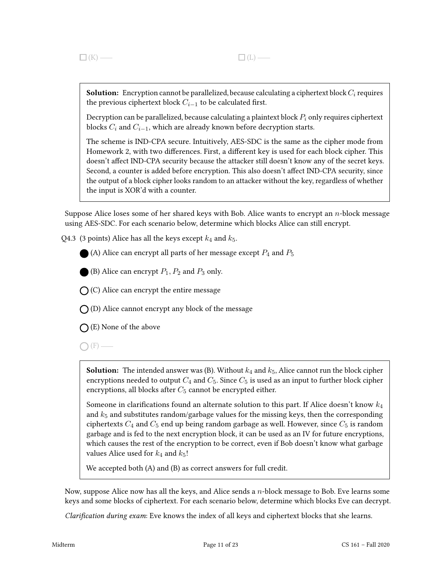**Solution:** Encryption cannot be parallelized, because calculating a ciphertext block  $C_i$  requires the previous ciphertext block  $C_{i-1}$  to be calculated first.

Decryption can be parallelized, because calculating a plaintext block  $P_i$  only requires ciphertext blocks  $C_i$  and  $C_{i-1}$ , which are already known before decryption starts.

The scheme is IND-CPA secure. Intuitively, AES-SDC is the same as the cipher mode from Homework 2, with two differences. First, a different key is used for each block cipher. This doesn't affect IND-CPA security because the attacker still doesn't know any of the secret keys. Second, a counter is added before encryption. This also doesn't affect IND-CPA security, since the output of a block cipher looks random to an attacker without the key, regardless of whether the input is XOR'd with a counter.

Suppose Alice loses some of her shared keys with Bob. Alice wants to encrypt an  $n$ -block message using AES-SDC. For each scenario below, determine which blocks Alice can still encrypt.

Q4.3 (3 points) Alice has all the keys except  $k_4$  and  $k_5$ .

(A) Alice can encrypt all parts of her message except  $P_4$  and  $P_5$ 

(B) Alice can encrypt  $P_1$ ,  $P_2$  and  $P_3$  only.

 $\bigcap$  (C) Alice can encrypt the entire message

 $\bigcap$  (D) Alice cannot encrypt any block of the message

 $\bigcap$  (E) None of the above

 $\bigcirc$  (F) —

**Solution:** The intended answer was (B). Without  $k_4$  and  $k_5$ , Alice cannot run the block cipher encryptions needed to output  $C_4$  and  $C_5$ . Since  $C_5$  is used as an input to further block cipher encryptions, all blocks after  $C_5$  cannot be encrypted either.

Someone in clarifications found an alternate solution to this part. If Alice doesn't know  $k_4$ and  $k_5$  and substitutes random/garbage values for the missing keys, then the corresponding ciphertexts  $C_4$  and  $C_5$  end up being random garbage as well. However, since  $C_5$  is random garbage and is fed to the next encryption block, it can be used as an IV for future encryptions, which causes the rest of the encryption to be correct, even if Bob doesn't know what garbage values Alice used for  $k_4$  and  $k_5!$ 

We accepted both (A) and (B) as correct answers for full credit.

Now, suppose Alice now has all the keys, and Alice sends a  $n$ -block message to Bob. Eve learns some keys and some blocks of ciphertext. For each scenario below, determine which blocks Eve can decrypt.

Clarification during exam: Eve knows the index of all keys and ciphertext blocks that she learns.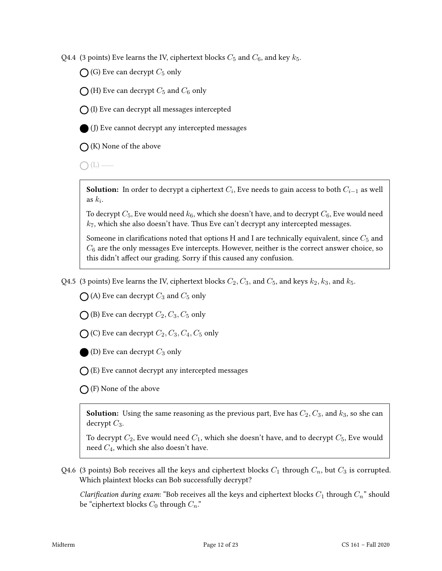Q4.4 (3 points) Eve learns the IV, ciphertext blocks  $C_5$  and  $C_6$ , and key  $k_5$ .

 $\bigcap$  (G) Eve can decrypt  $C_5$  only

 $\bigcap$  (H) Eve can decrypt  $C_5$  and  $C_6$  only

 $\bigcap$  (I) Eve can decrypt all messages intercepted



(J) Eve cannot decrypt any intercepted messages

 $\bigcap$  (K) None of the above

 $\bigcap(L)$  —

**Solution:** In order to decrypt a ciphertext  $C_i$ , Eve needs to gain access to both  $C_{i-1}$  as well as  $k_i$ .

To decrypt  $C_5$ , Eve would need  $k_6$ , which she doesn't have, and to decrypt  $C_6$ , Eve would need  $k_7$ , which she also doesn't have. Thus Eve can't decrypt any intercepted messages.

Someone in clarifications noted that options H and I are technically equivalent, since  $C_5$  and  $C_6$  are the only messages Eve intercepts. However, neither is the correct answer choice, so this didn't affect our grading. Sorry if this caused any confusion.

Q4.5 (3 points) Eve learns the IV, ciphertext blocks  $C_2, C_3$ , and  $C_5$ , and keys  $k_2, k_3$ , and  $k_5$ .

 $\bigcap$  (A) Eve can decrypt  $C_3$  and  $C_5$  only

 $\bigcap$  (B) Eve can decrypt  $C_2$ ,  $C_3$ ,  $C_5$  only

 $\bigcirc$  (C) Eve can decrypt  $C_2, C_3, C_4, C_5$  only

(D) Eve can decrypt  $C_3$  only

 $\bigcap$  (E) Eve cannot decrypt any intercepted messages

 $\bigcap$  (F) None of the above

**Solution:** Using the same reasoning as the previous part, Eve has  $C_2, C_3$ , and  $k_3$ , so she can decrypt  $C_3$ .

To decrypt  $C_2$ , Eve would need  $C_1$ , which she doesn't have, and to decrypt  $C_5$ , Eve would need C4, which she also doesn't have.

Q4.6 (3 points) Bob receives all the keys and ciphertext blocks  $C_1$  through  $C_n$ , but  $C_3$  is corrupted. Which plaintext blocks can Bob successfully decrypt?

Clarification during exam: "Bob receives all the keys and ciphertext blocks  $C_1$  through  $C_n$ " should be "ciphertext blocks  $C_0$  through  $C_n$ ."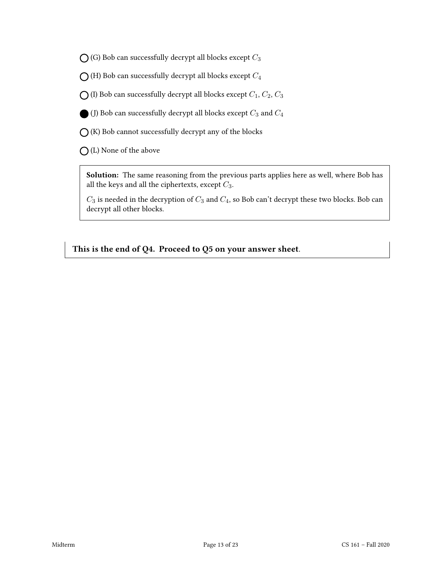$\bigcirc$  (G) Bob can successfully decrypt all blocks except  $C_3$ 

 $\bigcap$  (H) Bob can successfully decrypt all blocks except  $C_4$ 

 $\bigcirc$  (I) Bob can successfully decrypt all blocks except  $C_1, C_2, C_3$ 

(J) Bob can successfully decrypt all blocks except  $C_3$  and  $C_4$ 

 $\bigcirc$  (K) Bob cannot successfully decrypt any of the blocks

(L) None of the above

Solution: The same reasoning from the previous parts applies here as well, where Bob has all the keys and all the ciphertexts, except  $C_3$ .

 $C_3$  is needed in the decryption of  $C_3$  and  $C_4$ , so Bob can't decrypt these two blocks. Bob can decrypt all other blocks.

This is the end of Q4. Proceed to Q5 on your answer sheet.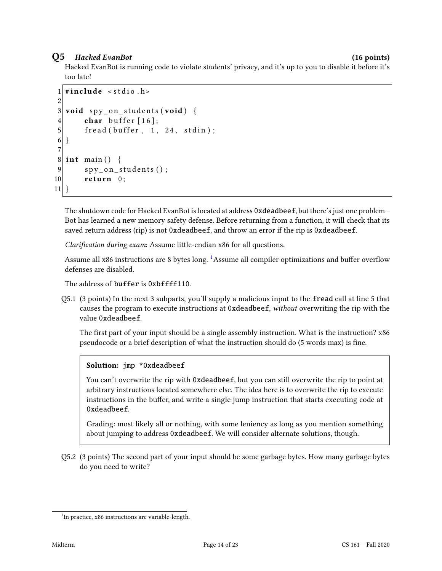### Q5 Hacked EvanBot (16 points)

Hacked EvanBot is running code to violate students' privacy, and it's up to you to disable it before it's too late!

```
1 \#include < stdio . h>
2
3 void spy_on_students (void) {
4 char buffer [16];
5 fread (buffer, 1, 24, stdin);
6 }
7
8 \midint main() {
9 spy_on_students();
10 return 0;
11}
```
The shutdown code for Hacked EvanBot is located at address 0xdeadbeef, but there's just one problem— Bot has learned a new memory safety defense. Before returning from a function, it will check that its saved return address (rip) is not 0xdeadbeef, and throw an error if the rip is 0xdeadbeef.

Clarification during exam: Assume little-endian x86 for all questions.

Assume all x86 instructions are 8 bytes long. <sup>[1](#page-13-0)</sup>Assume all compiler optimizations and buffer overflow defenses are disabled.

The address of buffer is 0xbffff110.

Q5.1 (3 points) In the next 3 subparts, you'll supply a malicious input to the fread call at line 5 that causes the program to execute instructions at 0xdeadbeef, without overwriting the rip with the value 0xdeadbeef.

The first part of your input should be a single assembly instruction. What is the instruction?  $x86$ pseudocode or a brief description of what the instruction should do (5 words max) is fine.

Solution: jmp \*0xdeadbeef

You can't overwrite the rip with 0xdeadbeef, but you can still overwrite the rip to point at arbitrary instructions located somewhere else. The idea here is to overwrite the rip to execute instructions in the buffer, and write a single jump instruction that starts executing code at 0xdeadbeef.

Grading: most likely all or nothing, with some leniency as long as you mention something about jumping to address 0xdeadbeef. We will consider alternate solutions, though.

Q5.2 (3 points) The second part of your input should be some garbage bytes. How many garbage bytes do you need to write?

<span id="page-13-0"></span><sup>&</sup>lt;sup>1</sup>In practice, x86 instructions are variable-length.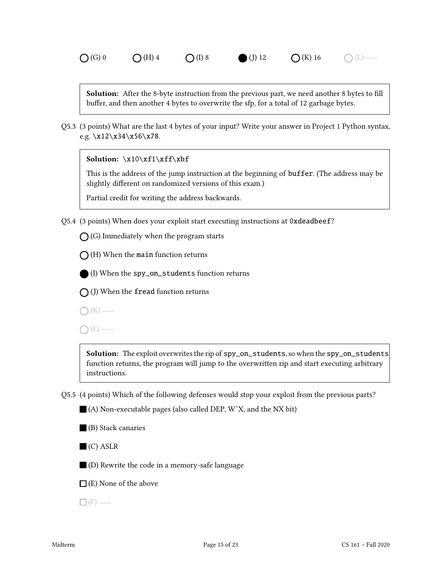**Solution:** After the 8-byte instruction from the previous part, we need another 8 bytes to fill buffer, and then another 4 bytes to overwrite the sfp, for a total of 12 garbage bytes.

Q5.3 (3 points) What are the last 4 bytes of your input? Write your answer in Project 1 Python syntax, e.g.  $x12 \x34 \x56 \x78$ .

Solution: \x10\xf1\xff\xbf

This is the address of the jump instruction at the beginning of buffer. (The address may be slightly different on randomized versions of this exam.)

Partial credit for writing the address backwards.

Q5.4 (3 points) When does your exploit start executing instructions at 0xdeadbeef?

 $\bigcap$  (G) Immediately when the program starts

 $\bigcap$  (H) When the main function returns

(I) When the spy\_on\_students function returns

 $\bigcap$  (J) When the fread function returns

 $\bigcap$  (K) —

 $\bigcap(L)$  —

Solution: The exploit overwrites the rip of spy\_on\_students, so when the spy\_on\_students function returns, the program will jump to the overwritten rip and start executing arbitrary instructions.

Q5.5 (4 points) Which of the following defenses would stop your exploit from the previous parts?

■ (A) Non-executable pages (also called DEP, W<sup> $\chi$ </sup>, and the NX bit)

(B) Stack canaries

 $\blacksquare$  (C) ASLR

(D) Rewrite the code in a memory-safe language

 $\Box$  (E) None of the above

 $\Box$  (F) —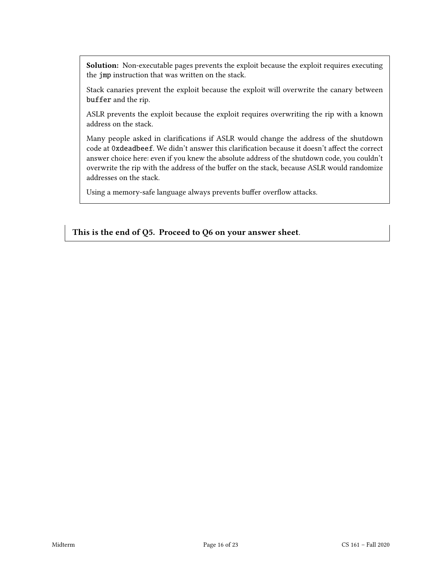Solution: Non-executable pages prevents the exploit because the exploit requires executing the jmp instruction that was written on the stack.

Stack canaries prevent the exploit because the exploit will overwrite the canary between buffer and the rip.

ASLR prevents the exploit because the exploit requires overwriting the rip with a known address on the stack.

Many people asked in clarifications if ASLR would change the address of the shutdown code at 0xdeadbeef. We didn't answer this clarification because it doesn't affect the correct answer choice here: even if you knew the absolute address of the shutdown code, you couldn't overwrite the rip with the address of the buffer on the stack, because ASLR would randomize addresses on the stack.

Using a memory-safe language always prevents buffer overflow attacks.

This is the end of Q5. Proceed to Q6 on your answer sheet.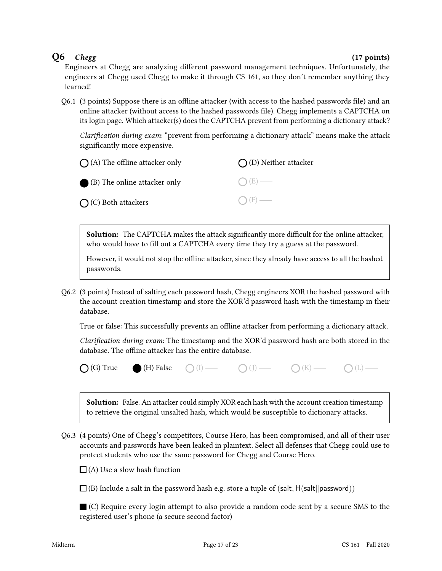### $Q6$  Chegg (17 points)

Engineers at Chegg are analyzing different password management techniques. Unfortunately, the engineers at Chegg used Chegg to make it through CS 161, so they don't remember anything they learned!

 $Q6.1$  (3 points) Suppose there is an offline attacker (with access to the hashed passwords file) and an online attacker (without access to the hashed passwords file). Chegg implements a CAPTCHA on its login page. Which attacker(s) does the CAPTCHA prevent from performing a dictionary attack?

Clarification during exam: "prevent from performing a dictionary attack" means make the attack significantly more expensive.

| $\bigcap$ (A) The offline attacker only | $\bigcap$ (D) Neither attacker |
|-----------------------------------------|--------------------------------|
| (B) The online attacker only            | $O(E)$ —                       |
| $\bigcap$ (C) Both attackers            | $\bigcap$ (F) —                |

Solution: The CAPTCHA makes the attack significantly more difficult for the online attacker, who would have to fill out a CAPTCHA every time they try a guess at the password.

However, it would not stop the offline attacker, since they already have access to all the hashed passwords.

Q6.2 (3 points) Instead of salting each password hash, Chegg engineers XOR the hashed password with the account creation timestamp and store the XOR'd password hash with the timestamp in their database.

True or false: This successfully prevents an offline attacker from performing a dictionary attack.

Clarification during exam: The timestamp and the XOR'd password hash are both stored in the database. The offline attacker has the entire database.

 $\bigcap$  (G) True (H) False  $\bigcap$  (I)  $\longrightarrow$   $\bigcap$  (I)  $\longrightarrow$   $\bigcap$  (K)  $\longrightarrow$   $\bigcap$  (L)  $\longrightarrow$ 

- 
- 

Solution: False. An attacker could simply XOR each hash with the account creation timestamp to retrieve the original unsalted hash, which would be susceptible to dictionary attacks.

Q6.3 (4 points) One of Chegg's competitors, Course Hero, has been compromised, and all of their user accounts and passwords have been leaked in plaintext. Select all defenses that Chegg could use to protect students who use the same password for Chegg and Course Hero.

 $\Box$  (A) Use a slow hash function

 $\Box$ (B) Include a salt in the password hash e.g. store a tuple of (salt, H(salt||password))

(C) Require every login attempt to also provide a random code sent by a secure SMS to the registered user's phone (a secure second factor)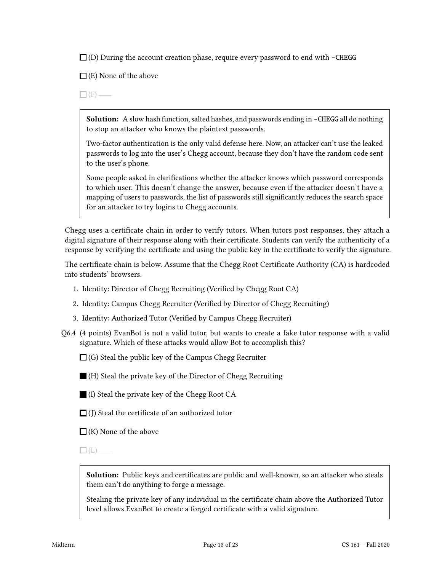$\square$  (D) During the account creation phase, require every password to end with -CHEGG

 $\Box$  (E) None of the above

 $\Box$  (F) —

**Solution:** A slow hash function, salted hashes, and passwords ending in -CHEGG all do nothing to stop an attacker who knows the plaintext passwords.

Two-factor authentication is the only valid defense here. Now, an attacker can't use the leaked passwords to log into the user's Chegg account, because they don't have the random code sent to the user's phone.

Some people asked in clarifications whether the attacker knows which password corresponds to which user. This doesn't change the answer, because even if the attacker doesn't have a mapping of users to passwords, the list of passwords still significantly reduces the search space for an attacker to try logins to Chegg accounts.

Chegg uses a certificate chain in order to verify tutors. When tutors post responses, they attach a digital signature of their response along with their certificate. Students can verify the authenticity of a response by verifying the certificate and using the public key in the certificate to verify the signature.

The certificate chain is below. Assume that the Chegg Root Certificate Authority (CA) is hardcoded into students' browsers.

- 1. Identity: Director of Chegg Recruiting (Verified by Chegg Root CA)
- 2. Identity: Campus Chegg Recruiter (Verified by Director of Chegg Recruiting)
- 3. Identity: Authorized Tutor (Verified by Campus Chegg Recruiter)
- Q6.4 (4 points) EvanBot is not a valid tutor, but wants to create a fake tutor response with a valid signature. Which of these attacks would allow Bot to accomplish this?

 $\Box$  (G) Steal the public key of the Campus Chegg Recruiter

(H) Steal the private key of the Director of Chegg Recruiting

(I) Steal the private key of the Chegg Root CA

 $\Box$  (J) Steal the certificate of an authorized tutor

 $\Box$  (K) None of the above

 $\Box$ (L) —

Solution: Public keys and certificates are public and well-known, so an attacker who steals them can't do anything to forge a message.

Stealing the private key of any individual in the certificate chain above the Authorized Tutor level allows EvanBot to create a forged certificate with a valid signature.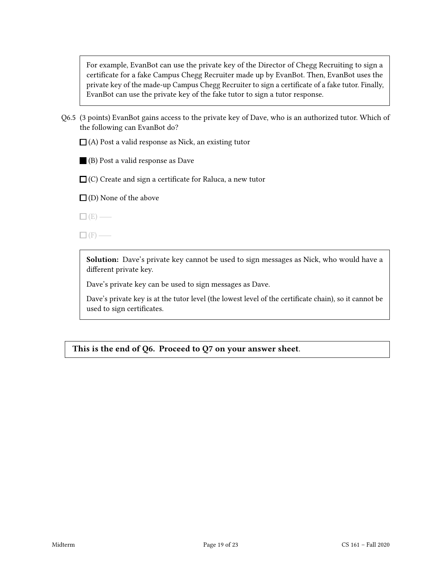For example, EvanBot can use the private key of the Director of Chegg Recruiting to sign a certificate for a fake Campus Chegg Recruiter made up by EvanBot. Then, EvanBot uses the private key of the made-up Campus Chegg Recruiter to sign a certificate of a fake tutor. Finally, EvanBot can use the private key of the fake tutor to sign a tutor response.

Q6.5 (3 points) EvanBot gains access to the private key of Dave, who is an authorized tutor. Which of the following can EvanBot do?

 $\Box$  (A) Post a valid response as Nick, an existing tutor

(B) Post a valid response as Dave

 $\Box$  (C) Create and sign a certificate for Raluca, a new tutor

 $\square$  (D) None of the above

 $\Box$  (E) —

 $\Box$ (F) —

Solution: Dave's private key cannot be used to sign messages as Nick, who would have a different private key.

Dave's private key can be used to sign messages as Dave.

Dave's private key is at the tutor level (the lowest level of the certificate chain), so it cannot be used to sign certificates.

This is the end of Q6. Proceed to Q7 on your answer sheet.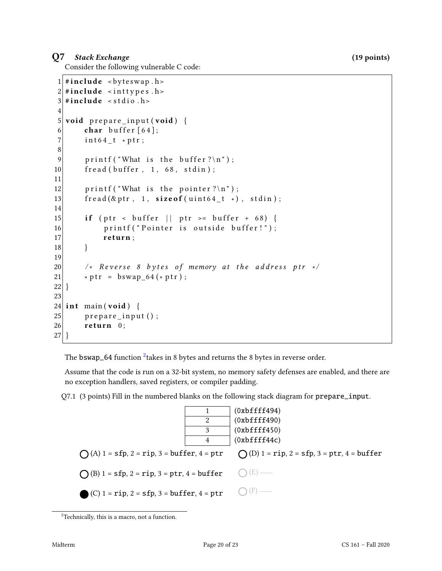### Q7 Stack Exchange (19 points)

Consider the following vulnerable C code:

```
1 \mid \#include <br/> <br/> <br/> <br/>
dellefturnations <br/>
dellefturnations <br/>
dellefturnations <br/>
dellefturnations <br/>
dellefturnations de la solution de la solution de la solution de la solution de la solut
 2 \#include <inttypes.h>
 3 \# include \lt stdio . h >
 4
 5 void prepare input (void) {
 6 char buffer [64];
 7 int64_t *ptr;
 8
 9 printf ("What is the buffer ?\ln");
10 fread (buffer, 1, 68, stdin);
11
12 printf ("What is the pointer?\n");
13 \left| \begin{array}{c} \text{fread}(\& \text{ptr} \ , \quad 1, \quad \text{sizeof} \ (\text{uint64\_t} \ *) \ , \quad \text{stdin}) \ ; \end{array} \right.14
15 if (ptr < buffer || ptr >= buffer + 68) {
16 printf ("Pointer is outside buffer!");
17 return;
18 }
19
20 \vert /* Reverse 8 bytes of memory at the address ptr */
21 * \text{ptr} = \text{bswap} 64 (* \text{ptr}) ;22 }
23
24 int main (void) {
25 prepare_input ();
26 return 0;
27 }
```
The <code>bswap\_64</code> function  $^2$  $^2$ takes in 8 bytes and returns the 8 bytes in reverse order.

Assume that the code is run on a 32-bit system, no memory safety defenses are enabled, and there are no exception handlers, saved registers, or compiler padding.

Q7.1 (3 points) Fill in the numbered blanks on the following stack diagram for prepare\_input.



<span id="page-19-0"></span> $2^2$ Technically, this is a macro, not a function.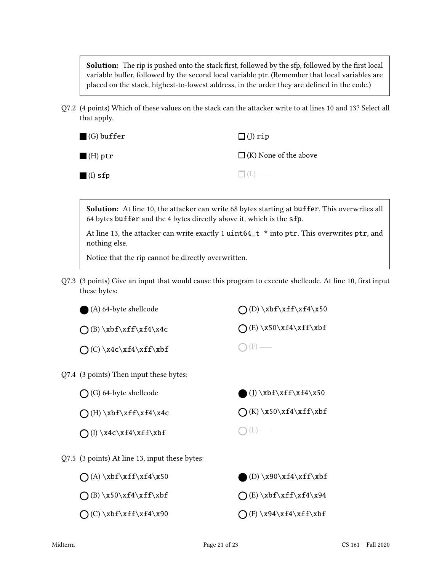Solution: The rip is pushed onto the stack first, followed by the sfp, followed by the first local variable buffer, followed by the second local variable ptr. (Remember that local variables are placed on the stack, highest-to-lowest address, in the order they are defined in the code.)

Q7.2 (4 points) Which of these values on the stack can the attacker write to at lines 10 and 13? Select all that apply.

| $(G)$ buffer           | $\square$ (J) rip            |
|------------------------|------------------------------|
| $\blacksquare$ (H) ptr | $\Box$ (K) None of the above |
| $\blacksquare$ (I) sfp | $\Box$ (L) —                 |

Solution: At line 10, the attacker can write 68 bytes starting at buffer. This overwrites all 64 bytes buffer and the 4 bytes directly above it, which is the sfp.

At line 13, the attacker can write exactly 1 uint64\_t \* into ptr. This overwrites ptr, and nothing else.

Notice that the rip cannot be directly overwritten.

Q7.3 (3 points) Give an input that would cause this program to execute shellcode. At line 10, first input these bytes:

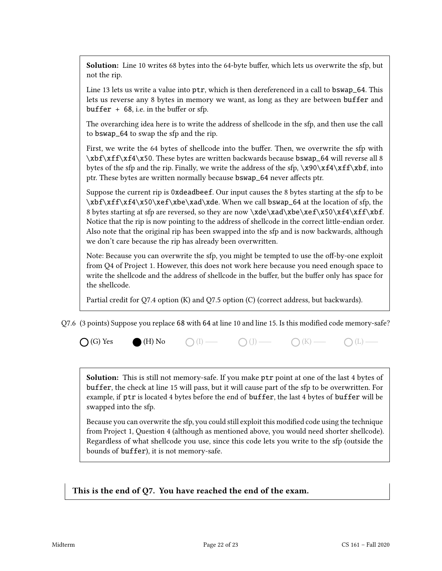Solution: Line 10 writes 68 bytes into the 64-byte buffer, which lets us overwrite the sfp, but not the rip.

Line 13 lets us write a value into  $ptr$ , which is then dereferenced in a call to bswap\_64. This lets us reverse any 8 bytes in memory we want, as long as they are between buffer and  $buffer + 68$ , i.e. in the buffer or sfp.

The overarching idea here is to write the address of shellcode in the sfp, and then use the call to bswap\_64 to swap the sfp and the rip.

First, we write the 64 bytes of shellcode into the buffer. Then, we overwrite the sfp with \xbf\xff\xf4\x50. These bytes are written backwards because bswap\_64 will reverse all 8 bytes of the sfp and the rip. Finally, we write the address of the sfp,  $\x90\xf4\xf\xbf$ , into ptr. These bytes are written normally because bswap\_64 never affects ptr.

Suppose the current rip is 0xdeadbeef. Our input causes the 8 bytes starting at the sfp to be \xbf\xff\xf4\x50\xef\xbe\xad\xde. When we call bswap\_64 at the location of sfp, the 8 bytes starting at sfp are reversed, so they are now \xde\xad\xbe\xef\x50\xf4\xff\xbf. Notice that the rip is now pointing to the address of shellcode in the correct little-endian order. Also note that the original rip has been swapped into the sfp and is now backwards, although we don't care because the rip has already been overwritten.

Note: Because you can overwrite the sfp, you might be tempted to use the off-by-one exploit from Q4 of Project 1. However, this does not work here because you need enough space to write the shellcode and the address of shellcode in the buffer, but the buffer only has space for the shellcode.

Partial credit for Q7.4 option (K) and Q7.5 option (C) (correct address, but backwards).

Q7.6 (3 points) Suppose you replace 68 with 64 at line 10 and line 15. Is this modified code memory-safe?

 $\bigcap$  (G) Yes  $\bigcirc$  (H) No  $\bigcirc$  (I)  $\longrightarrow$   $\bigcirc$  (J)  $\longrightarrow$   $\bigcirc$  (K)  $\longrightarrow$   $\bigcirc$  (L)  $\longrightarrow$ 

Solution: This is still not memory-safe. If you make ptr point at one of the last 4 bytes of buffer, the check at line 15 will pass, but it will cause part of the sfp to be overwritten. For example, if ptr is located 4 bytes before the end of buffer, the last 4 bytes of buffer will be swapped into the sfp.

Because you can overwrite the sfp, you could still exploit this modified code using the technique from Project 1, Question 4 (although as mentioned above, you would need shorter shellcode). Regardless of what shellcode you use, since this code lets you write to the sfp (outside the bounds of buffer), it is not memory-safe.

This is the end of Q7. You have reached the end of the exam.